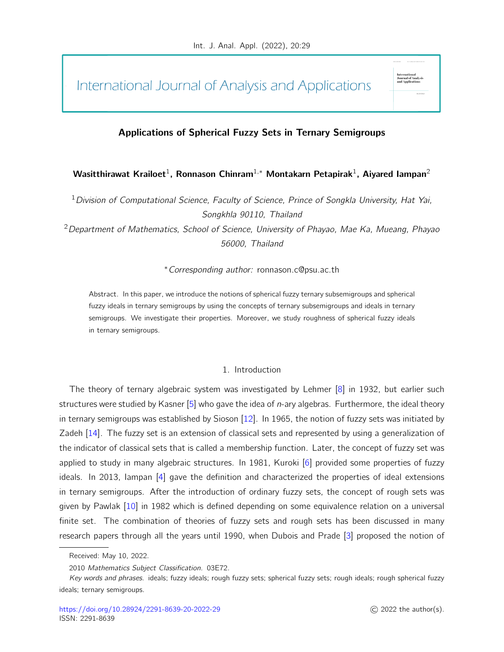International Journal of Analysis and Applications

## Applications of Spherical Fuzzy Sets in Ternary Semigroups

## Wasitthirawat Krailoet $^1$ , Ronnason Chinram $^{1,\ast}$  Montakarn Petapirak $^1$ , Aiyared Iampan $^2$

<sup>1</sup> Division of Computational Science, Faculty of Science, Prince of Songkla University, Hat Yai, Songkhla 90110, Thailand

 $2$  Department of Mathematics, School of Science, University of Phayao, Mae Ka, Mueang, Phayao 56000, Thailand

<sup>∗</sup>Corresponding author: ronnason.c@psu.ac.th

Abstract. In this paper, we introduce the notions of spherical fuzzy ternary subsemigroups and spherical fuzzy ideals in ternary semigroups by using the concepts of ternary subsemigroups and ideals in ternary semigroups. We investigate their properties. Moreover, we study roughness of spherical fuzzy ideals in ternary semigroups.

### 1. Introduction

The theory of ternary algebraic system was investigated by Lehmer [\[8\]](#page-11-0) in 1932, but earlier such structures were studied by Kasner  $[5]$  who gave the idea of *n*-ary algebras. Furthermore, the ideal theory in ternary semigroups was established by Sioson [\[12\]](#page-11-2). In 1965, the notion of fuzzy sets was initiated by Zadeh [\[14\]](#page-12-0). The fuzzy set is an extension of classical sets and represented by using a generalization of the indicator of classical sets that is called a membership function. Later, the concept of fuzzy set was applied to study in many algebraic structures. In 1981, Kuroki [\[6\]](#page-11-3) provided some properties of fuzzy ideals. In 2013, Iampan [\[4\]](#page-11-4) gave the definition and characterized the properties of ideal extensions in ternary semigroups. After the introduction of ordinary fuzzy sets, the concept of rough sets was given by Pawlak [\[10\]](#page-11-5) in 1982 which is defined depending on some equivalence relation on a universal finite set. The combination of theories of fuzzy sets and rough sets has been discussed in many research papers through all the years until 1990, when Dubois and Prade [\[3\]](#page-11-6) proposed the notion of

International<br>Journal of Analy<br>and Applications

Received: May 10, 2022.

<sup>2010</sup> Mathematics Subject Classification. 03E72.

Key words and phrases. ideals; fuzzy ideals; rough fuzzy sets; spherical fuzzy sets; rough ideals; rough spherical fuzzy ideals; ternary semigroups.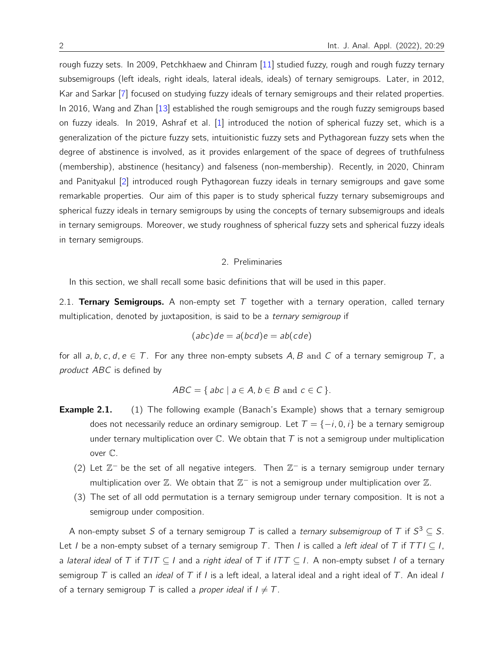rough fuzzy sets. In 2009, Petchkhaew and Chinram [\[11\]](#page-11-7) studied fuzzy, rough and rough fuzzy ternary subsemigroups (left ideals, right ideals, lateral ideals, ideals) of ternary semigroups. Later, in 2012, Kar and Sarkar [\[7\]](#page-11-8) focused on studying fuzzy ideals of ternary semigroups and their related properties. In 2016, Wang and Zhan [\[13\]](#page-11-9) established the rough semigroups and the rough fuzzy semigroups based on fuzzy ideals. In 2019, Ashraf et al. [\[1\]](#page-11-10) introduced the notion of spherical fuzzy set, which is a generalization of the picture fuzzy sets, intuitionistic fuzzy sets and Pythagorean fuzzy sets when the degree of abstinence is involved, as it provides enlargement of the space of degrees of truthfulness (membership), abstinence (hesitancy) and falseness (non-membership). Recently, in 2020, Chinram and Panityakul [\[2\]](#page-11-11) introduced rough Pythagorean fuzzy ideals in ternary semigroups and gave some remarkable properties. Our aim of this paper is to study spherical fuzzy ternary subsemigroups and spherical fuzzy ideals in ternary semigroups by using the concepts of ternary subsemigroups and ideals in ternary semigroups. Moreover, we study roughness of spherical fuzzy sets and spherical fuzzy ideals in ternary semigroups.

#### 2. Preliminaries

In this section, we shall recall some basic definitions that will be used in this paper.

2.1. Ternary Semigroups. A non-empty set  $T$  together with a ternary operation, called ternary multiplication, denoted by juxtaposition, is said to be a *ternary semigroup* if

$$
(abc)de = a(bcd)e = ab(cde)
$$

for all a, b, c, d,  $e \in T$ . For any three non-empty subsets A, B and C of a ternary semigroup T, a product ABC is defined by

$$
ABC = \{ abc \mid a \in A, b \in B \text{ and } c \in C \}.
$$

- **Example 2.1.** (1) The following example (Banach's Example) shows that a ternary semigroup does not necessarily reduce an ordinary semigroup. Let  $T = \{-i, 0, i\}$  be a ternary semigroup under ternary multiplication over  $\mathbb C$ . We obtain that  $T$  is not a semigroup under multiplication over C.
	- (2) Let  $\mathbb{Z}^-$  be the set of all negative integers. Then  $\mathbb{Z}^-$  is a ternary semigroup under ternary multiplication over  $\mathbb Z$ . We obtain that  $\mathbb Z^-$  is not a semigroup under multiplication over  $\mathbb Z$ .
	- (3) The set of all odd permutation is a ternary semigroup under ternary composition. It is not a semigroup under composition.

A non-empty subset S of a ternary semigroup T is called a ternary subsemigroup of T if  $S^3 \subseteq S$ . Let I be a non-empty subset of a ternary semigroup T. Then I is called a left ideal of T if  $TTI \subseteq I$ , a lateral ideal of T if  $T/T \subseteq I$  and a right ideal of T if  $ITT \subseteq I$ . A non-empty subset I of a ternary semigroup T is called an *ideal* of T if I is a left ideal, a lateral ideal and a right ideal of T. An ideal I of a ternary semigroup T is called a *proper ideal* if  $I \neq T$ .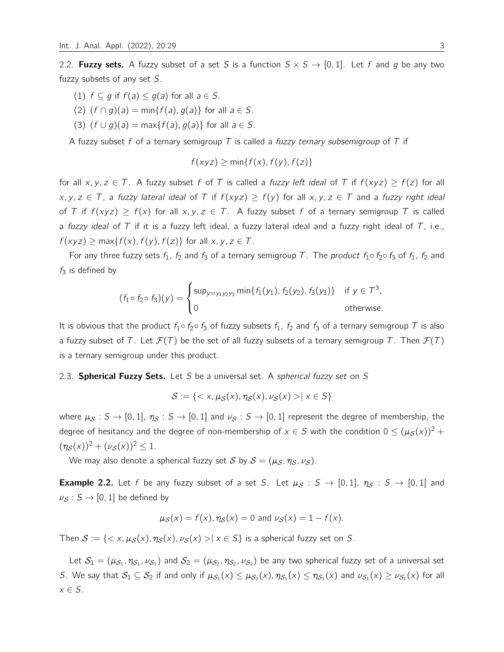2.2. **Fuzzy sets.** A fuzzy subset of a set S is a function  $S \times S \rightarrow [0, 1]$ . Let f and g be any two fuzzy subsets of any set S.

- (1)  $f \subset q$  if  $f(a) \leq g(a)$  for all  $a \in S$ .
- (2)  $(f \cap g)(a) = \min\{f(a), g(a)\}\$ for all  $a \in S$ .
- (3)  $(f \cup g)(a) = \max\{f(a), g(a)\}\$ for all  $a \in S$ .

A fuzzy subset f of a ternary semigroup T is called a fuzzy ternary subsemigroup of T if

$$
f(xyz) \ge \min\{f(x), f(y), f(z)\}
$$

for all x, y,  $z \in T$ . A fuzzy subset f of T is called a fuzzy left ideal of T if  $f(xyz) \ge f(z)$  for all x, y, z ∈ T, a fuzzy lateral ideal of T if  $f(xyz) \geq f(y)$  for all x, y, z ∈ T and a fuzzy right ideal of T if  $f(xyz) \ge f(x)$  for all  $x, y, z \in T$ . A fuzzy subset f of a ternary semigroup T is called a fuzzy ideal of  $T$  if it is a fuzzy left ideal, a fuzzy lateral ideal and a fuzzy right ideal of  $T$ , i.e.,  $f(xyz) \ge \max\{f(x), f(y), f(z)\}\$ for all  $x, y, z \in \mathcal{T}$ .

For any three fuzzy sets  $f_1$ ,  $f_2$  and  $f_3$  of a ternary semigroup T. The *product*  $f_1 \circ f_2 \circ f_3$  of  $f_1$ ,  $f_2$  and  $f_3$  is defined by

$$
(f_1 \circ f_2 \circ f_3)(y) = \begin{cases} \sup_{y = y_1 y_2 y_3} \min\{f_1(y_1), f_2(y_2), f_3(y_3)\} & \text{if } y \in \mathcal{T}^3, \\ 0 & \text{otherwise.} \end{cases}
$$

It is obvious that the product  $f_1 \circ f_2 \circ f_3$  of fuzzy subsets  $f_1$ ,  $f_2$  and  $f_3$  of a ternary semigroup T is also a fuzzy subset of T. Let  $\mathcal{F}(T)$  be the set of all fuzzy subsets of a ternary semigroup T. Then  $\mathcal{F}(T)$ is a ternary semigroup under this product.

#### 2.3. Spherical Fuzzy Sets. Let S be a universal set. A spherical fuzzy set on S

 $S := \{ \langle x, \mu_S(x), \eta_S(x), \nu_S(x) \rangle | x \in S \}$ 

where  $\mu_S : S \to [0, 1], \eta_S : S \to [0, 1]$  and  $\nu_S : S \to [0, 1]$  represent the degree of membership, the degree of hesitancy and the degree of non-membership of  $x \in S$  with the condition  $0 \leq (\mu_S(x))^2 +$  $(\eta_S(x))^2 + (\nu_S(x))^2 \leq 1.$ 

We may also denote a spherical fuzzy set S by  $S = (\mu_S, \eta_S, \nu_S)$ .

**Example 2.2.** Let f be any fuzzy subset of a set S. Let  $\mu_S : S \to [0,1]$ ,  $\eta_S : S \to [0,1]$  and  $\nu_S : S \to [0, 1]$  be defined by

$$
\mu_S(x) = f(x), \eta_S(x) = 0
$$
 and  $\nu_S(x) = 1 - f(x)$ .

Then  $S := \{ \langle x, \mu_S(x), \eta_S(x), \nu_S(x) \rangle | x \in S \}$  is a spherical fuzzy set on S.

Let  $\mathcal{S}_1=(\mu_{\mathcal{S}_1},\eta_{\mathcal{S}_1},\nu_{\mathcal{S}_1})$  and  $\mathcal{S}_2=(\mu_{\mathcal{S}_2},\eta_{\mathcal{S}_2},\nu_{\mathcal{S}_2})$  be any two spherical fuzzy set of a universal set S. We say that  $S_1 \subseteq S_2$  if and only if  $\mu_{S_1}(x) \leq \mu_{S_2}(x)$ ,  $\eta_{S_1}(x) \leq \eta_{S_1}(x)$  and  $\nu_{S_1}(x) \geq \nu_{S_1}(x)$  for all  $x \in S$ .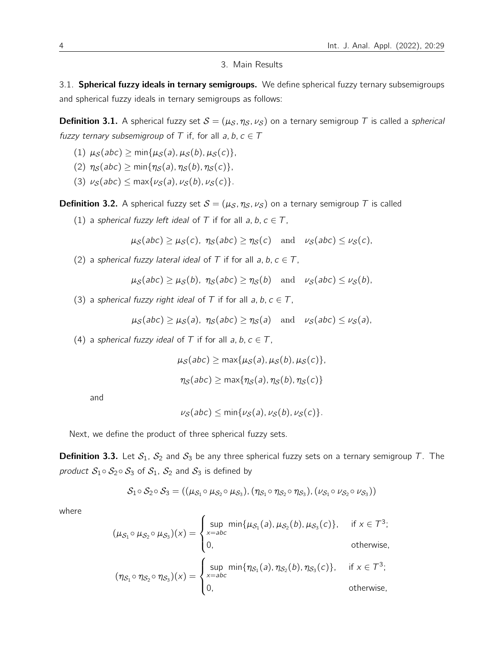#### 3. Main Results

3.1. Spherical fuzzy ideals in ternary semigroups. We define spherical fuzzy ternary subsemigroups and spherical fuzzy ideals in ternary semigroups as follows:

**Definition 3.1.** A spherical fuzzy set  $S = (\mu_S, \eta_S, \nu_S)$  on a ternary semigroup T is called a spherical fuzzy ternary subsemigroup of T if, for all a, b,  $c \in T$ 

- (1)  $\mu_S(abc) \ge \min{\mu_S(a), \mu_S(b), \mu_S(c)}$ ,
- (2)  $\eta_{\mathcal{S}}(abc) \ge \min{\{\eta_{\mathcal{S}}(a), \eta_{\mathcal{S}}(b), \eta_{\mathcal{S}}(c)\}}$ ,
- (3)  $\nu_S(abc) \leq \max{\nu_S(a), \nu_S(b), \nu_S(c)}$ .

**Definition 3.2.** A spherical fuzzy set  $S = (\mu_S, \eta_S, \nu_S)$  on a ternary semigroup T is called

(1) a spherical fuzzy left ideal of T if for all a, b,  $c \in T$ ,

$$
\mu_{\mathcal{S}}(abc) \ge \mu_{\mathcal{S}}(c), \ \eta_{\mathcal{S}}(abc) \ge \eta_{\mathcal{S}}(c) \ \text{and} \ \nu_{\mathcal{S}}(abc) \le \nu_{\mathcal{S}}(c),
$$

(2) a spherical fuzzy lateral ideal of T if for all a, b,  $c \in T$ ,

 $\mu_S(abc) \geq \mu_S(b)$ ,  $\eta_S(abc) \geq \eta_S(b)$  and  $\nu_S(abc) \leq \nu_S(b)$ ,

(3) a spherical fuzzy right ideal of T if for all a, b,  $c \in T$ ,

$$
\mu_{\mathcal{S}}(abc) \ge \mu_{\mathcal{S}}(a)
$$
,  $\eta_{\mathcal{S}}(abc) \ge \eta_{\mathcal{S}}(a)$  and  $\nu_{\mathcal{S}}(abc) \le \nu_{\mathcal{S}}(a)$ ,

(4) a spherical fuzzy ideal of T if for all a, b,  $c \in T$ ,

$$
\mu_S(abc) \ge \max{\mu_S(a), \mu_S(b), \mu_S(c)},
$$
  

$$
\eta_S(abc) \ge \max{\eta_S(a), \eta_S(b), \eta_S(c)}
$$

and

$$
\nu_{\mathcal{S}}(abc) \leq \min\{\nu_{\mathcal{S}}(a), \nu_{\mathcal{S}}(b), \nu_{\mathcal{S}}(c)\}.
$$

Next, we define the product of three spherical fuzzy sets.

**Definition 3.3.** Let  $S_1$ ,  $S_2$  and  $S_3$  be any three spherical fuzzy sets on a ternary semigroup T. The product  $S_1 \circ S_2 \circ S_3$  of  $S_1$ ,  $S_2$  and  $S_3$  is defined by

$$
\mathcal{S}_1 \circ \mathcal{S}_2 \circ \mathcal{S}_3 = ((\mu_{\mathcal{S}_1} \circ \mu_{\mathcal{S}_2} \circ \mu_{\mathcal{S}_3}), (\eta_{\mathcal{S}_1} \circ \eta_{\mathcal{S}_2} \circ \eta_{\mathcal{S}_3}), (\nu_{\mathcal{S}_1} \circ \nu_{\mathcal{S}_2} \circ \nu_{\mathcal{S}_3}))
$$

where

$$
(\mu_{S_1} \circ \mu_{S_2} \circ \mu_{S_3})(x) = \begin{cases} \sup_{x=abc} \min{\{\mu_{S_1}(a), \mu_{S_2}(b), \mu_{S_3}(c)\}}, & \text{if } x \in \mathcal{T}^3; \\ 0, & \text{otherwise,} \end{cases}
$$
  

$$
(\eta_{S_1} \circ \eta_{S_2} \circ \eta_{S_3})(x) = \begin{cases} \sup_{x=abc} \min{\{\eta_{S_1}(a), \eta_{S_2}(b), \eta_{S_3}(c)\}}, & \text{if } x \in \mathcal{T}^3; \\ 0, & \text{otherwise,} \end{cases}
$$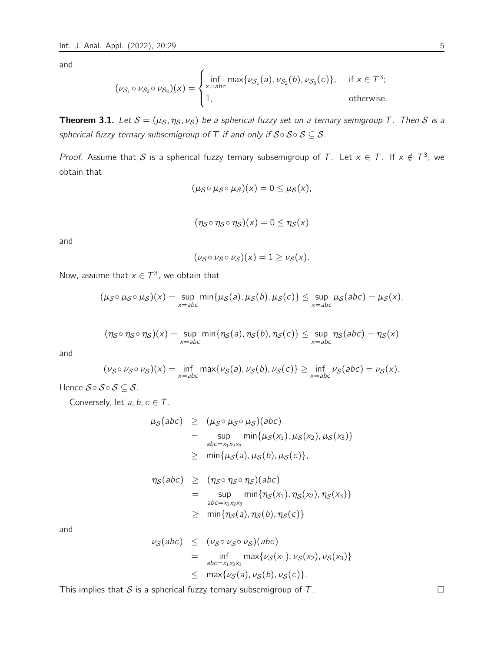$$
(\nu_{\mathcal{S}_1} \circ \nu_{\mathcal{S}_2} \circ \nu_{\mathcal{S}_3})(x) = \begin{cases} \inf_{x=abc} \max\{\nu_{\mathcal{S}_1}(a), \nu_{\mathcal{S}_2}(b), \nu_{\mathcal{S}_3}(c)\}, & \text{if } x \in \mathcal{T}^3; \\ 1, & \text{otherwise.} \end{cases}
$$

**Theorem 3.1.** Let  $S = (\mu_S, \eta_S, \nu_S)$  be a spherical fuzzy set on a ternary semigroup T. Then S is a spherical fuzzy ternary subsemigroup of T if and only if  $S \circ S \circ S \subseteq S$ .

*Proof.* Assume that S is a spherical fuzzy ternary subsemigroup of T. Let  $x \in T$ . If  $x \notin T^3$ , we obtain that

$$
(\mu_{\mathcal{S}}\circ \mu_{\mathcal{S}}\circ \mu_{\mathcal{S}})(x)=0\leq \mu_{\mathcal{S}}(x),
$$

$$
(\eta_S \circ \eta_S \circ \eta_S)(x) = 0 \leq \eta_S(x)
$$

and

$$
(\nu_{\mathcal{S}} \circ \nu_{\mathcal{S}} \circ \nu_{\mathcal{S}})(x) = 1 \geq \nu_{\mathcal{S}}(x).
$$

Now, assume that  $x \in \mathcal{T}^3$ , we obtain that

$$
(\mu_{\mathcal{S}} \circ \mu_{\mathcal{S}} \circ \mu_{\mathcal{S}})(x) = \sup_{x=abc} \min\{\mu_{\mathcal{S}}(a), \mu_{\mathcal{S}}(b), \mu_{\mathcal{S}}(c)\} \leq \sup_{x=abc} \mu_{\mathcal{S}}(abc) = \mu_{\mathcal{S}}(x),
$$

$$
(\eta_S \circ \eta_S \circ \eta_S)(x) = \sup_{x = abc} \min \{ \eta_S(a), \eta_S(b), \eta_S(c) \} \leq \sup_{x = abc} \eta_S(abc) = \eta_S(x)
$$

and

$$
(\nu_{\mathcal{S}} \circ \nu_{\mathcal{S}} \circ \nu_{\mathcal{S}})(x) = \inf_{x = abc} \max{\{\nu_{\mathcal{S}}(a), \nu_{\mathcal{S}}(b), \nu_{\mathcal{S}}(c)\}} \ge \inf_{x = abc} \nu_{\mathcal{S}}(abc) = \nu_{\mathcal{S}}(x).
$$

Hence  $S \circ S \circ S \subseteq S$ .

Conversely, let  $a, b, c \in T$ .

$$
\mu_S(abc) \ge (\mu_S \circ \mu_S \circ \mu_S)(abc)
$$
  
= 
$$
\sup_{abc = x_1x_2x_3} \min{\mu_S(x_1), \mu_S(x_2), \mu_S(x_3)}
$$
  

$$
\ge \min{\mu_S(a), \mu_S(b), \mu_S(c)},
$$
  

$$
\eta_S(abc) \ge (\eta_S \circ \eta_S \circ \eta_S)(abc)
$$

$$
= \sup_{abc=x_1x_2x_3} \min\{\eta_{\mathcal{S}}(x_1), \eta_{\mathcal{S}}(x_2), \eta_{\mathcal{S}}(x_3)\}
$$
  
 
$$
\geq \min\{\eta_{\mathcal{S}}(a), \eta_{\mathcal{S}}(b), \eta_{\mathcal{S}}(c)\}
$$

and

$$
\nu_{\mathcal{S}}(abc) \leq (\nu_{\mathcal{S}} \circ \nu_{\mathcal{S}})(abc)
$$
  
= 
$$
\inf_{abc=x_1x_2x_3} \max{\{\nu_{\mathcal{S}}(x_1), \nu_{\mathcal{S}}(x_2), \nu_{\mathcal{S}}(x_3)\}}
$$
  

$$
\leq \max{\{\nu_{\mathcal{S}}(a), \nu_{\mathcal{S}}(b), \nu_{\mathcal{S}}(c)\}}.
$$

This implies that S is a spherical fuzzy ternary subsemigroup of T.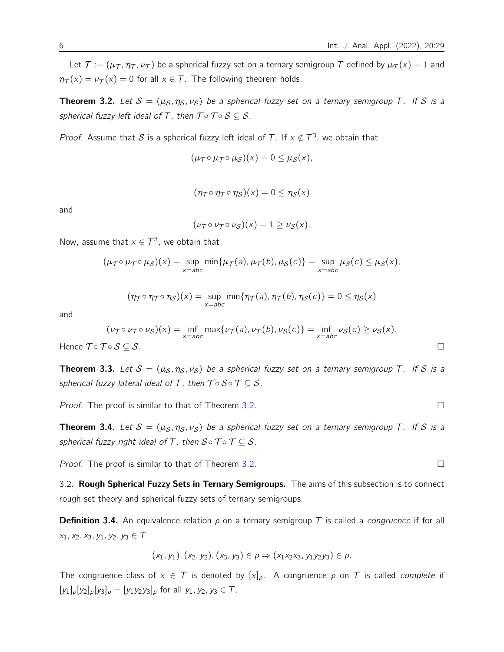Let  $\mathcal{T} := (\mu_{\mathcal{T}}, \eta_{\mathcal{T}}, \nu_{\mathcal{T}})$  be a spherical fuzzy set on a ternary semigroup T defined by  $\mu_{\mathcal{T}}(x) = 1$  and  $\eta_{\mathcal{T}}(x) = \nu_{\mathcal{T}}(x) = 0$  for all  $x \in \mathcal{T}$ . The following theorem holds.

<span id="page-5-0"></span>**Theorem 3.2.** Let  $S = (\mu_S, \eta_S, \nu_S)$  be a spherical fuzzy set on a ternary semigroup T. If S is a spherical fuzzy left ideal of T, then  $\mathcal{T} \circ \mathcal{T} \circ \mathcal{S} \subseteq \mathcal{S}$ .

*Proof.* Assume that S is a spherical fuzzy left ideal of T. If  $x \notin T^3$ , we obtain that

$$
(\mu_{\mathcal{T}}\circ \mu_{\mathcal{T}}\circ \mu_{\mathcal{S}})(x)=0\leq \mu_{\mathcal{S}}(x),
$$

$$
(\eta_{\mathcal{T}}\circ\eta_{\mathcal{T}}\circ\eta_{\mathcal{S}})(x)=0\leq\eta_{\mathcal{S}}(x)
$$

and

$$
(\nu_{\mathcal{T}} \circ \nu_{\mathcal{T}} \circ \nu_{\mathcal{S}})(x) = 1 \geq \nu_{\mathcal{S}}(x).
$$

Now, assume that  $x \in \mathcal{T}^3$ , we obtain that

$$
(\mu_{\mathcal{T}} \circ \mu_{\mathcal{T}} \circ \mu_{\mathcal{S}})(x) = \sup_{x = abc} \min\{\mu_{\mathcal{T}}(a), \mu_{\mathcal{T}}(b), \mu_{\mathcal{S}}(c)\} = \sup_{x = abc} \mu_{\mathcal{S}}(c) \leq \mu_{\mathcal{S}}(x),
$$

$$
(\eta_{\mathcal{T}} \circ \eta_{\mathcal{T}} \circ \eta_{\mathcal{S}})(x) = \sup_{x = abc} \min\{\eta_{\mathcal{T}}(a), \eta_{\mathcal{T}}(b), \eta_{\mathcal{S}}(c)\} = 0 \leq \eta_{\mathcal{S}}(x)
$$

and

$$
(\nu_{\mathcal{T}} \circ \nu_{\mathcal{T}} \circ \nu_{\mathcal{S}})(x) = \inf_{x = abc} \max \{ \nu_{\mathcal{T}}(a), \nu_{\mathcal{T}}(b), \nu_{\mathcal{S}}(c) \} = \inf_{x = abc} \nu_{\mathcal{S}}(c) \ge \nu_{\mathcal{S}}(x).
$$
  
Hence  $\mathcal{T} \circ \mathcal{T} \circ \mathcal{S} \subset \mathcal{S}$ .

**Theorem 3.3.** Let  $S = (\mu_S, \eta_S, \nu_S)$  be a spherical fuzzy set on a ternary semigroup T. If S is a spherical fuzzy lateral ideal of T, then  $\mathcal{T} \circ \mathcal{S} \circ \mathcal{T} \subseteq \mathcal{S}$ .

*Proof.* The proof is similar to that of Theorem [3.2.](#page-5-0)

**Theorem 3.4.** Let  $S = (\mu_S, \eta_S, \nu_S)$  be a spherical fuzzy set on a ternary semigroup T. If S is a spherical fuzzy right ideal of T, then  $S \circ \mathcal{T} \circ \mathcal{T} \subseteq S$ .

*Proof.* The proof is similar to that of Theorem [3.2.](#page-5-0)

3.2. Rough Spherical Fuzzy Sets in Ternary Semigroups. The aims of this subsection is to connect rough set theory and spherical fuzzy sets of ternary semigroups.

**Definition 3.4.** An equivalence relation  $\rho$  on a ternary semigroup T is called a *congruence* if for all  $x_1, x_2, x_3, y_1, y_2, y_3 \in T$ 

$$
(x_1, y_1), (x_2, y_2), (x_3, y_3) \in \rho \Rightarrow (x_1x_2x_3, y_1y_2y_3) \in \rho.
$$

The congruence class of  $x \in \mathcal{T}$  is denoted by  $[x]_{\rho}$ . A congruence  $\rho$  on  $\mathcal{T}$  is called *complete* if  $[y_1]_\rho[y_2]_\rho[y_3]_\rho = [y_1y_2y_3]_\rho$  for all  $y_1, y_2, y_3 \in \mathcal{T}$ .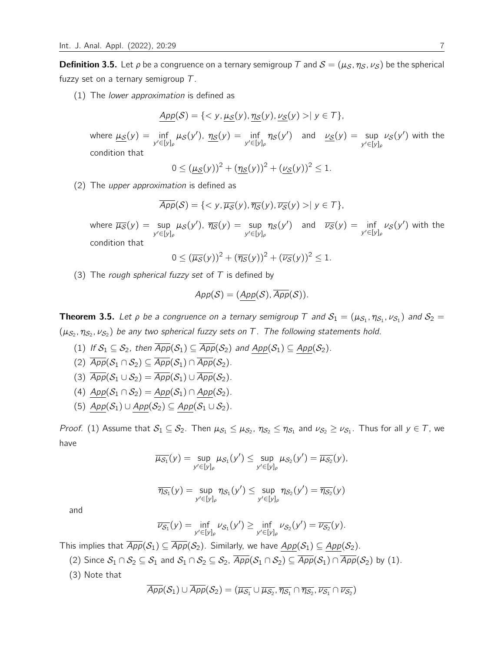**Definition 3.5.** Let  $\rho$  be a congruence on a ternary semigroup T and  $S = (\mu_S, \eta_S, \nu_S)$  be the spherical fuzzy set on a ternary semigroup  $T$ .

(1) The lower approximation is defined as

$$
\underline{App(S)} = \{ \langle y, \underline{\mu_S}(y), \underline{\eta_S}(y), \underline{\nu_S}(y) \rangle | y \in T \},
$$

where  $\underline{\mu_{\mathcal{S}}}(y) = \inf_{y' \in [y]_\rho} \mu_{\mathcal{S}}(y')$ ,  $\underline{\eta_{\mathcal{S}}}(y) = \inf_{y' \in [y]_\rho} \eta_{\mathcal{S}}(y')$  and  $\underline{\nu_{\mathcal{S}}}(y) = \sup_{y' \in [y]_\rho} \eta_{\mathcal{S}}(y)$  $\nu_{\mathcal{S}}(y')$  with the condition that

$$
0 \leq (\underline{\mu_S}(y))^2 + (\underline{\eta_S}(y))^2 + (\underline{\nu_S}(y))^2 \leq 1.
$$

(2) The upper approximation is defined as

$$
\overline{App}(\mathcal{S}) = \{ \langle y, \overline{\mu_{\mathcal{S}}}(y), \overline{\eta_{\mathcal{S}}}(y), \overline{\nu_{\mathcal{S}}}(y) \rangle | y \in \mathcal{T} \},\
$$

where  $\overline{\mu_{\mathcal{S}}}(y) = \sup_{y' \in [y]_{\rho}}$  $\mu_{\mathcal{S}}(y'), \overline{\eta_{\mathcal{S}}}(y) = \sup_{y' \in [y]_{\rho}}$  $\eta_{\mathcal{S}}(y')$  and  $\overline{\nu_{\mathcal{S}}}(y) = \inf_{y' \in [y]_{\rho}} \nu_{\mathcal{S}}(y')$  with the condition that

$$
0 \leq (\overline{\mu_{\mathcal{S}}}(y))^2 + (\overline{\eta_{\mathcal{S}}}(y))^2 + (\overline{\nu_{\mathcal{S}}}(y))^2 \leq 1.
$$

(3) The rough spherical fuzzy set of  $T$  is defined by

$$
App(\mathcal{S})=(\underline{App}(\mathcal{S}),\overline{App}(\mathcal{S})).
$$

**Theorem 3.5.** Let  $\rho$  be a congruence on a ternary semigroup T and  $\mathcal{S}_1=(\mu_{\mathcal{S}_1},\eta_{\mathcal{S}_1},\nu_{\mathcal{S}_1})$  and  $\mathcal{S}_2=$  $(\mu_{\mathcal{S}_2},\eta_{\mathcal{S}_2},\nu_{\mathcal{S}_2})$  be any two spherical fuzzy sets on T. The following statements hold.

- (1) If  $S_1 \subseteq S_2$ , then  $\overline{App}(S_1) \subseteq \overline{App}(S_2)$  and  $App(S_1) \subseteq App(S_2)$ .
- (2)  $\overline{App}(\mathcal{S}_1 \cap \mathcal{S}_2) \subseteq \overline{App}(\mathcal{S}_1) \cap \overline{App}(\mathcal{S}_2).$
- (3)  $\overline{App}(\mathcal{S}_1 \cup \mathcal{S}_2) = \overline{App}(\mathcal{S}_1) \cup \overline{App}(\mathcal{S}_2).$
- (4)  $App(S_1 \cap S_2) = App(S_1) \cap App(S_2)$ .
- (5)  $App(S_1) \cup App(S_2) \subseteq App(S_1 \cup S_2)$ .

*Proof.* (1) Assume that  $\mathcal{S}_1\subseteq\mathcal{S}_2$ . Then  $\mu_{\mathcal{S}_1}\leq\mu_{\mathcal{S}_2},\,\eta_{\mathcal{S}_2}\leq\eta_{\mathcal{S}_1}$  and  $\nu_{\mathcal{S}_2}\geq\nu_{\mathcal{S}_1}.$  Thus for all  $y\in\mathcal{T}$ , we have

$$
\overline{\mu_{\mathcal{S}_1}}(y) = \sup_{y' \in [y]_{\rho}} \mu_{\mathcal{S}_1}(y') \leq \sup_{y' \in [y]_{\rho}} \mu_{\mathcal{S}_2}(y') = \overline{\mu_{\mathcal{S}_2}}(y),
$$

$$
\overline{\eta_{\mathcal{S}_1}}(y) = \sup_{y' \in [y]_\rho} \eta_{\mathcal{S}_1}(y') \le \sup_{y' \in [y]_\rho} \eta_{\mathcal{S}_2}(y') = \overline{\eta_{\mathcal{S}_2}}(y)
$$

and

$$
\overline{\nu_{\mathcal{S}_1}}(y) = \inf_{y' \in [y]_{\rho}} \nu_{\mathcal{S}_1}(y') \ge \inf_{y' \in [y]_{\rho}} \nu_{\mathcal{S}_2}(y') = \overline{\nu_{\mathcal{S}_2}}(y).
$$

This implies that  $\overline{App(S_1)} \subseteq \overline{App(S_2)}$ . Similarly, we have  $App(S_1) \subseteq App(S_2)$ .

(2) Since  $S_1 \cap S_2 \subseteq S_1$  and  $S_1 \cap S_2 \subseteq S_2$ ,  $\overline{App}(S_1 \cap S_2) \subseteq \overline{App}(S_1) \cap \overline{App}(S_2)$  by (1).

(3) Note that

$$
\overline{App(\mathcal{S}_1)\cup \overline{App}(\mathcal{S}_2)}=(\overline{\mu_{\mathcal{S}_1}}\cup \overline{\mu_{\mathcal{S}_2}}, \overline{\eta_{\mathcal{S}_1}}\cap \overline{\eta_{\mathcal{S}_2}}, \overline{\nu_{\mathcal{S}_1}}\cap \overline{\nu_{\mathcal{S}_2}})
$$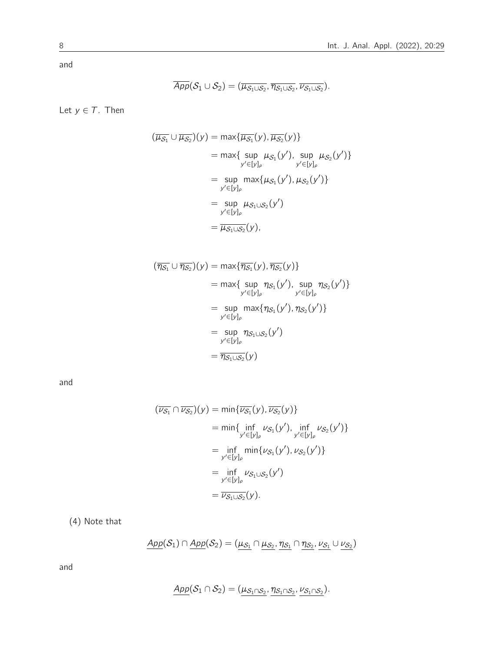$$
\overline{App}(\mathcal{S}_1 \cup \mathcal{S}_2) = (\overline{\mu_{\mathcal{S}_1 \cup \mathcal{S}_2}}, \overline{\eta_{\mathcal{S}_1 \cup \mathcal{S}_2}}, \overline{\nu_{\mathcal{S}_1 \cup \mathcal{S}_2}}).
$$

Let  $y \in T$ . Then

$$
(\overline{\mu_{S_1}} \cup \overline{\mu_{S_2}})(y) = \max{\{\overline{\mu_{S_1}}(y), \overline{\mu_{S_2}}(y)\}}
$$
  
\n
$$
= \max{\{\sup_{y' \in [y]_\rho} \mu_{S_1}(y'), \sup_{y' \in [y]_\rho} \mu_{S_2}(y')\}}
$$
  
\n
$$
= \sup_{y' \in [y]_\rho} \max{\{\mu_{S_1}(y'), \mu_{S_2}(y')\}}
$$
  
\n
$$
= \sup_{y' \in [y]_\rho} \mu_{S_1 \cup S_2}(y')
$$
  
\n
$$
= \overline{\mu_{S_1} \cup S_2}(y),
$$

$$
(\overline{\eta_{S_1}} \cup \overline{\eta_{S_2}})(y) = \max{\{\overline{\eta_{S_1}}(y), \overline{\eta_{S_2}}(y)\}}
$$
  
\n
$$
= \max{\{\sup_{y' \in [y]_p} \eta_{S_1}(y'), \sup_{y' \in [y]_p} \eta_{S_2}(y')\}}
$$
  
\n
$$
= \sup_{y' \in [y]_p} \max{\{\eta_{S_1}(y'), \eta_{S_2}(y')\}}
$$
  
\n
$$
= \sup_{y' \in [y]_p} \eta_{S_1 \cup S_2}(y')
$$
  
\n
$$
= \overline{\eta_{S_1 \cup S_2}}(y)
$$

and

$$
(\overline{\nu_{S_1}} \cap \overline{\nu_{S_2}})(y) = \min{\{\overline{\nu_{S_1}}(y), \overline{\nu_{S_2}}(y)\}}
$$
  
\n
$$
= \min{\{\inf_{y' \in [y]_p} \nu_{S_1}(y'), \inf_{y' \in [y]_p} \nu_{S_2}(y')\}}
$$
  
\n
$$
= \inf_{y' \in [y]_p} \min{\{\nu_{S_1}(y'), \nu_{S_2}(y')\}}
$$
  
\n
$$
= \inf_{y' \in [y]_p} \nu_{S_1 \cup S_2}(y')
$$
  
\n
$$
= \overline{\nu_{S_1 \cup S_2}}(y).
$$

(4) Note that

$$
\underline{App(S_1) \cap \underline{App(S_2)} = (\mu_{S_1} \cap \mu_{S_2}, \eta_{S_1} \cap \eta_{S_2}, \nu_{S_1} \cup \nu_{S_2})}
$$

and

$$
\underline{App(S_1 \cap S_2)} = (\mu_{S_1 \cap S_2}, \eta_{S_1 \cap S_2}, \nu_{S_1 \cap S_2}).
$$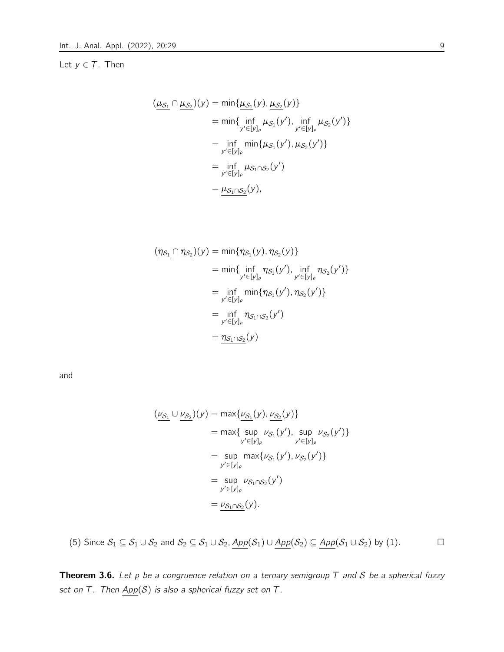# Let  $y \in T$ . Then

$$
(\underline{\mu_{S_1}} \cap \underline{\mu_{S_2}})(y) = \min{\{\underline{\mu_{S_1}}(y), \underline{\mu_{S_2}}(y)\}}
$$
  
=  $\min{\{\inf_{y' \in [y]_\rho} \mu_{S_1}(y'), \inf_{y' \in [y]_\rho} \mu_{S_2}(y')\}}$   
=  $\inf_{y' \in [y]_\rho} \min{\{\mu_{S_1}(y'), \mu_{S_2}(y')\}}$   
=  $\inf_{y' \in [y]_\rho} \mu_{S_1 \cap S_2}(y')$   
=  $\underline{\mu_{S_1 \cap S_2}}(y)$ ,

$$
(\underbrace{\eta_{S_1}} \cap \underbrace{\eta_{S_2}})(y) = \min{\{\eta_{S_1}(y), \eta_{S_2}(y)\}}
$$
  
\n
$$
= \min{\{\inf_{y' \in [y]_\rho} \eta_{S_1}(y'), \inf_{y' \in [y]_\rho} \eta_{S_2}(y')\}}
$$
  
\n
$$
= \inf_{y' \in [y]_\rho} \min{\{\eta_{S_1}(y'), \eta_{S_2}(y')\}}
$$
  
\n
$$
= \inf_{y' \in [y]_\rho} \eta_{S_1 \cap S_2}(y')
$$
  
\n
$$
= \eta_{S_1 \cap S_2}(y)
$$

and

$$
(\underline{\nu_{S_1}} \cup \underline{\nu_{S_2}})(y) = \max{\{\underline{\nu_{S_1}}(y), \underline{\nu_{S_2}}(y)\}}
$$
  
= max{ sup  $\nu_{S_1}(y')$ , sup  $\nu_{S_2}(y')$ }  
= sup  $\nu_{S_1}(y')$ ,  $\nu_{S_2}(y')$ }  
= sup  $\max{\{\nu_{S_1}(y'), \nu_{S_2}(y')\}}$   
= sup  $\nu_{S_1 \cap S_2}(y')$   
=  $\underline{\nu_{S_1} \cap S_2}(y)$ .

(5) Since 
$$
S_1 \subseteq S_1 \cup S_2
$$
 and  $S_2 \subseteq S_1 \cup S_2$ ,  $App(S_1) \cup App(S_2) \subseteq App(S_1 \cup S_2)$  by (1).

**Theorem 3.6.** Let  $\rho$  be a congruence relation on a ternary semigroup T and S be a spherical fuzzy set on T. Then  $\underline{App}(\mathcal{S})$  is also a spherical fuzzy set on T.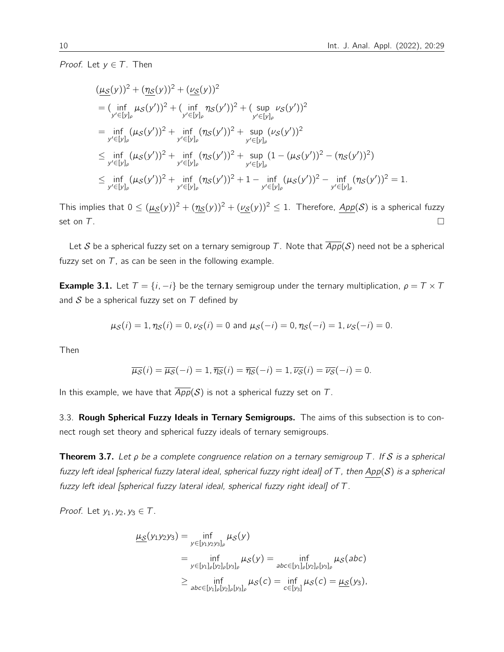*Proof.* Let  $v \in T$ . Then

$$
\begin{split}\n&(\underline{\mu}_{\mathcal{S}}(y))^{2} + (\underline{\eta}_{\mathcal{S}}(y))^{2} + (\underline{\nu}_{\mathcal{S}}(y))^{2} \\
&= (\inf_{y' \in [y]_{\rho}} \mu_{\mathcal{S}}(y'))^{2} + (\inf_{y' \in [y]_{\rho}} \eta_{\mathcal{S}}(y'))^{2} + (\sup_{y' \in [y]_{\rho}} \nu_{\mathcal{S}}(y'))^{2} \\
&= \inf_{y' \in [y]_{\rho}} (\mu_{\mathcal{S}}(y'))^{2} + \inf_{y' \in [y]_{\rho}} (\eta_{\mathcal{S}}(y'))^{2} + \sup_{y' \in [y]_{\rho}} (\nu_{\mathcal{S}}(y'))^{2} \\
&\leq \inf_{y' \in [y]_{\rho}} (\mu_{\mathcal{S}}(y'))^{2} + \inf_{y' \in [y]_{\rho}} (\eta_{\mathcal{S}}(y'))^{2} + \sup_{y' \in [y]_{\rho}} (1 - (\mu_{\mathcal{S}}(y'))^{2} - (\eta_{\mathcal{S}}(y'))^{2}) \\
&\leq \inf_{y' \in [y]_{\rho}} (\mu_{\mathcal{S}}(y'))^{2} + \inf_{y' \in [y]_{\rho}} (\eta_{\mathcal{S}}(y'))^{2} + 1 - \inf_{y' \in [y]_{\rho}} (\mu_{\mathcal{S}}(y'))^{2} - \inf_{y' \in [y]_{\rho}} (\eta_{\mathcal{S}}(y'))^{2} = 1.\n\end{split}
$$

This implies that  $0 \leq (\mu_S(y))^2 + (\eta_S(y))^2 + (\nu_S(y))^2 \leq 1$ . Therefore,  $\text{App}(\mathcal{S})$  is a spherical fuzzy set on  $T$ .

Let S be a spherical fuzzy set on a ternary semigroup T. Note that  $\overline{App}(S)$  need not be a spherical fuzzy set on  $T$ , as can be seen in the following example.

**Example 3.1.** Let  $T = \{i, -i\}$  be the ternary semigroup under the ternary multiplication,  $\rho = T \times T$ and  $S$  be a spherical fuzzy set on  $T$  defined by

$$
\mu_{\mathcal{S}}(i) = 1
$$
,  $\eta_{\mathcal{S}}(i) = 0$ ,  $\nu_{\mathcal{S}}(i) = 0$  and  $\mu_{\mathcal{S}}(-i) = 0$ ,  $\eta_{\mathcal{S}}(-i) = 1$ ,  $\nu_{\mathcal{S}}(-i) = 0$ .

Then

$$
\overline{\mu_{\mathcal{S}}}(i) = \overline{\mu_{\mathcal{S}}}(-i) = 1, \overline{\eta_{\mathcal{S}}}(i) = \overline{\eta_{\mathcal{S}}}(-i) = 1, \overline{\nu_{\mathcal{S}}}(i) = \overline{\nu_{\mathcal{S}}}(-i) = 0.
$$

In this example, we have that  $\overline{App(S)}$  is not a spherical fuzzy set on T.

3.3. Rough Spherical Fuzzy Ideals in Ternary Semigroups. The aims of this subsection is to connect rough set theory and spherical fuzzy ideals of ternary semigroups.

<span id="page-9-0"></span>**Theorem 3.7.** Let  $\rho$  be a complete congruence relation on a ternary semigroup T. If S is a spherical fuzzy left ideal [spherical fuzzy lateral ideal, spherical fuzzy right ideal] of T, then App(S) is a spherical fuzzy left ideal [spherical fuzzy lateral ideal, spherical fuzzy right ideal] of T.

Proof. Let  $y_1, y_2, y_3 \in T$ .

$$
\underline{\mu_{S}}(y_{1}y_{2}y_{3}) = \inf_{y \in [y_{1}y_{2}y_{3}]_{\rho}} \mu_{S}(y)
$$
\n
$$
= \inf_{y \in [y_{1}]_{\rho}[y_{2}]_{\rho}[y_{3}]_{\rho}} \mu_{S}(y) = \inf_{abc \in [y_{1}]_{\rho}[y_{2}]_{\rho}[y_{3}]_{\rho}} \mu_{S}(abc)
$$
\n
$$
\geq \inf_{abc \in [y_{1}]_{\rho}[y_{2}]_{\rho}[y_{3}]_{\rho}} \mu_{S}(c) = \inf_{c \in [y_{3}]} \mu_{S}(c) = \underline{\mu_{S}}(y_{3}),
$$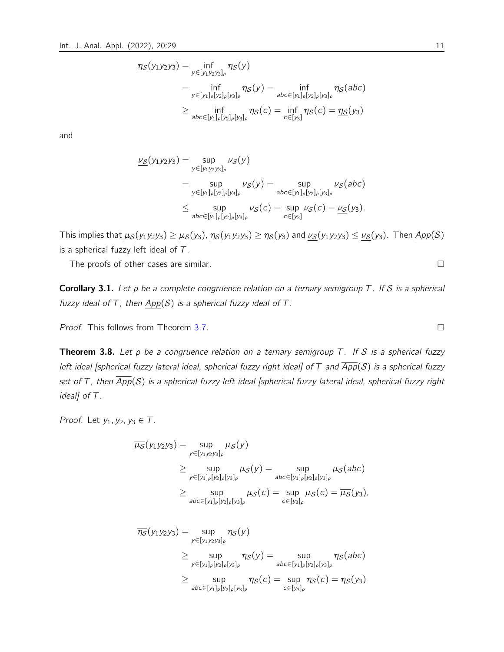$$
\underline{\eta_S}(y_1y_2y_3) = \inf_{y \in [y_1y_2y_3]_\rho} \eta_S(y)
$$
\n
$$
= \inf_{y \in [y_1]_\rho [y_2]_\rho [y_3]_\rho} \eta_S(y) = \inf_{abc \in [y_1]_\rho [y_2]_\rho [y_3]_\rho} \eta_S(abc)
$$
\n
$$
\geq \inf_{abc \in [y_1]_\rho [y_2]_\rho [y_3]_\rho} \eta_S(c) = \inf_{c \in [y_3]} \eta_S(c) = \underline{\eta_S}(y_3)
$$

$$
\underline{\nu_S}(y_1y_2y_3) = \sup_{y \in [y_1y_2y_3]_\rho} \nu_S(y)
$$
  
\n
$$
= \sup_{y \in [y_1]_\rho [y_2]_\rho [y_3]_\rho} \nu_S(y) = \sup_{abc \in [y_1]_\rho [y_2]_\rho [y_3]_\rho} \nu_S(abc)
$$
  
\n
$$
\leq \sup_{abc \in [y_1]_\rho [y_2]_\rho [y_3]_\rho} \nu_S(c) = \sup_{c \in [y_3]} \nu_S(c) = \underline{\nu_S}(y_3).
$$

This implies that  $\mu_S(y_1y_2y_3) \ge \mu_S(y_3)$ ,  $\eta_S(y_1y_2y_3) \ge \eta_S(y_3)$  and  $\nu_S(y_1y_2y_3) \le \nu_S(y_3)$ . Then  $App(S)$ is a spherical fuzzy left ideal of  $T$ .

The proofs of other cases are similar.

Corollary 3.1. Let  $\rho$  be a complete congruence relation on a ternary semigroup T. If S is a spherical fuzzy ideal of T, then  $App(S)$  is a spherical fuzzy ideal of T.

Proof. This follows from Theorem [3.7.](#page-9-0)

<span id="page-10-0"></span>**Theorem 3.8.** Let  $\rho$  be a congruence relation on a ternary semigroup T. If S is a spherical fuzzy left ideal [spherical fuzzy lateral ideal, spherical fuzzy right ideal] of T and  $\overline{App}(S)$  is a spherical fuzzy set of T, then  $\overline{App}(S)$  is a spherical fuzzy left ideal [spherical fuzzy lateral ideal, spherical fuzzy right ideal] of T.

Proof. Let  $y_1, y_2, y_3 \in T$ .

$$
\overline{\mu_{\mathcal{S}}}(y_1y_2y_3) = \sup_{y \in [y_1y_2y_3]_{\rho}} \mu_{\mathcal{S}}(y)
$$
\n
$$
\geq \sup_{y \in [y_1]_{\rho}[y_2]_{\rho}[y_3]_{\rho}} \mu_{\mathcal{S}}(y) = \sup_{abc \in [y_1]_{\rho}[y_2]_{\rho}[y_3]_{\rho}} \mu_{\mathcal{S}}(abc)
$$
\n
$$
\geq \sup_{abc \in [y_1]_{\rho}[y_2]_{\rho}[y_3]_{\rho}} \mu_{\mathcal{S}}(c) = \sup_{c \in [y_3]_{\rho}} \mu_{\mathcal{S}}(c) = \overline{\mu_{\mathcal{S}}}(y_3),
$$
\n
$$
\overline{\eta_{\mathcal{S}}}(y_1y_2y_3) = \sup_{y \in [y_1y_2y_3]_{\rho}} \eta_{\mathcal{S}}(y)
$$
\n
$$
\geq \sup_{y \in [y_1]_{\rho}[y_2]_{\rho}[y_3]_{\rho}} \eta_{\mathcal{S}}(y) = \sup_{abc \in [y_1]_{\rho}[y_2]_{\rho}[y_3]_{\rho}} \eta_{\mathcal{S}}(c) = \sup_{c \in [y_3]_{\rho}} \eta_{\mathcal{S}}(c) = \overline{\eta_{\mathcal{S}}}(y_3)
$$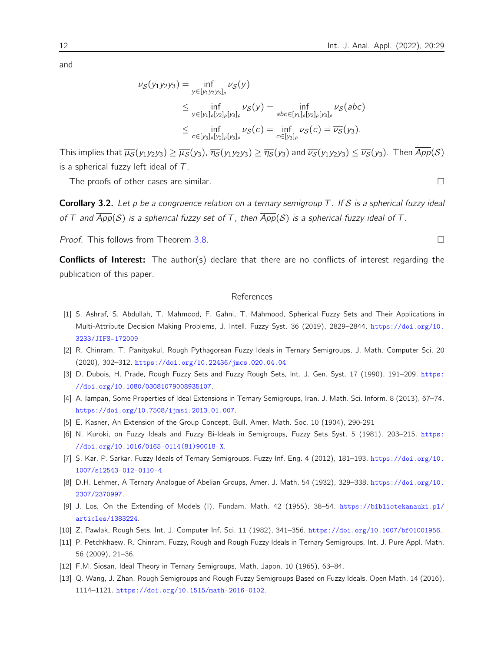$$
\overline{\nu_{S}}(y_{1}y_{2}y_{3}) = \inf_{y \in [y_{1}y_{2}y_{3}]_{\rho}} \nu_{S}(y)
$$
\n
$$
\leq \inf_{y \in [y_{1}]_{\rho}[y_{2}]_{\rho}[y_{3}]_{\rho}} \nu_{S}(y) = \inf_{abc \in [y_{1}]_{\rho}[y_{2}]_{\rho}[y_{3}]_{\rho}} \nu_{S}(abc)
$$
\n
$$
\leq \inf_{c \in [y_{3}]_{\rho}[y_{2}]_{\rho}[y_{3}]_{\rho}} \nu_{S}(c) = \inf_{c \in [y_{3}]_{\rho}} \nu_{S}(c) = \overline{\nu_{S}}(y_{3}).
$$

This implies that  $\overline{\mu_S}(y_1y_2y_3) \ge \overline{\mu_S}(y_3)$ ,  $\overline{\eta_S}(y_1y_2y_3) \ge \overline{\eta_S}(y_3)$  and  $\overline{\nu_S}(y_1y_2y_3) \le \overline{\nu_S}(y_3)$ . Then  $\overline{App(S)}$ is a spherical fuzzy left ideal of  $T$ .

The proofs of other cases are similar.

**Corollary 3.2.** Let  $\rho$  be a congruence relation on a ternary semigroup T. If S is a spherical fuzzy ideal of T and  $\overline{App}(S)$  is a spherical fuzzy set of T, then  $\overline{App}(S)$  is a spherical fuzzy ideal of T.

Proof. This follows from Theorem [3.8.](#page-10-0)

**Conflicts of Interest:** The author(s) declare that there are no conflicts of interest regarding the publication of this paper.

#### References

- <span id="page-11-10"></span>[1] S. Ashraf, S. Abdullah, T. Mahmood, F. Gahni, T. Mahmood, Spherical Fuzzy Sets and Their Applications in Multi-Attribute Decision Making Problems, J. Intell. Fuzzy Syst. 36 (2019), 2829–2844. [https://doi.org/10.](https://doi.org/10.3233/JIFS-172009) [3233/JIFS-172009](https://doi.org/10.3233/JIFS-172009)
- <span id="page-11-11"></span>[2] R. Chinram, T. Panityakul, Rough Pythagorean Fuzzy Ideals in Ternary Semigroups, J. Math. Computer Sci. 20 (2020), 302–312. <https://doi.org/10.22436/jmcs.020.04.04>
- <span id="page-11-6"></span>[3] D. Dubois, H. Prade, Rough Fuzzy Sets and Fuzzy Rough Sets, Int. J. Gen. Syst. 17 (1990), 191–209. [https:](https://doi.org/10.1080/03081079008935107) [//doi.org/10.1080/03081079008935107](https://doi.org/10.1080/03081079008935107).
- <span id="page-11-4"></span>[4] A. Iampan, Some Properties of Ideal Extensions in Ternary Semigroups, Iran. J. Math. Sci. Inform. 8 (2013), 67–74. <https://doi.org/10.7508/ijmsi.2013.01.007>.
- <span id="page-11-1"></span>[5] E. Kasner, An Extension of the Group Concept, Bull. Amer. Math. Soc. 10 (1904), 290-291
- <span id="page-11-3"></span>[6] N. Kuroki, on Fuzzy Ideals and Fuzzy Bi-Ideals in Semigroups, Fuzzy Sets Syst. 5 (1981), 203–215. [https:](https://doi.org/10.1016/0165-0114(81)90018-X) [//doi.org/10.1016/0165-0114\(81\)90018-X](https://doi.org/10.1016/0165-0114(81)90018-X).
- <span id="page-11-8"></span>[7] S. Kar, P. Sarkar, Fuzzy Ideals of Ternary Semigroups, Fuzzy Inf. Eng. 4 (2012), 181–193. [https://doi.org/10.](https://doi.org/10.1007/s12543-012-0110-4) [1007/s12543-012-0110-4](https://doi.org/10.1007/s12543-012-0110-4)
- <span id="page-11-0"></span>[8] D.H. Lehmer, A Ternary Analogue of Abelian Groups, Amer. J. Math. 54 (1932), 329–338. [https://doi.org/10.](https://doi.org/10.2307/2370997) [2307/2370997](https://doi.org/10.2307/2370997).
- [9] J. Los, On the Extending of Models (I), Fundam. Math. 42 (1955), 38–54. [https://bibliotekanauki.pl/](https://bibliotekanauki.pl/articles/1383224) [articles/1383224](https://bibliotekanauki.pl/articles/1383224).
- <span id="page-11-5"></span>[10] Z. Pawlak, Rough Sets, Int. J. Computer Inf. Sci. 11 (1982), 341–356. <https://doi.org/10.1007/bf01001956>.
- <span id="page-11-7"></span>[11] P. Petchkhaew, R. Chinram, Fuzzy, Rough and Rough Fuzzy Ideals in Ternary Semigroups, Int. J. Pure Appl. Math. 56 (2009), 21–36.
- <span id="page-11-2"></span>[12] F.M. Siosan, Ideal Theory in Ternary Semigroups, Math. Japon. 10 (1965), 63–84.
- <span id="page-11-9"></span>[13] Q. Wang, J. Zhan, Rough Semigroups and Rough Fuzzy Semigroups Based on Fuzzy Ideals, Open Math. 14 (2016), 1114–1121. <https://doi.org/10.1515/math-2016-0102>.